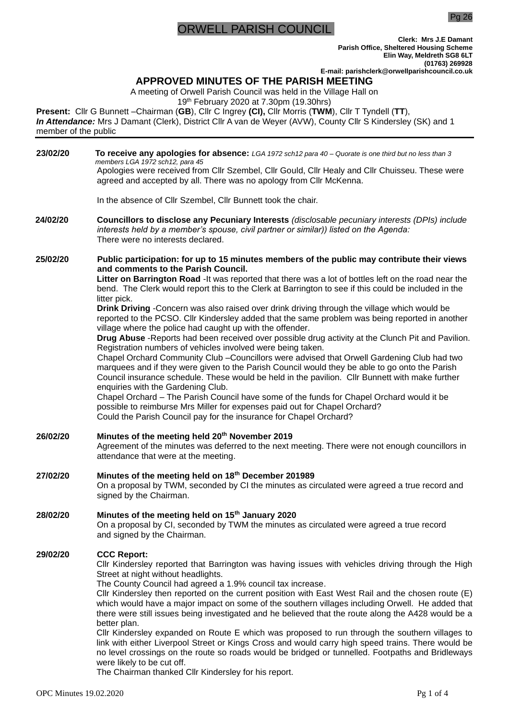# **RWELL PARISH COUNCIL**

Pg 26

**Clerk: Mrs J.E Damant Parish Office, Sheltered Housing Scheme Elin Way, Meldreth SG8 6LT (01763) 269928 E-mail: parishclerk@orwellparishcouncil.co.uk**

# **APPROVED MINUTES OF THE PARISH MEETING**

A meeting of Orwell Parish Council was held in the Village Hall on

19th February 2020 at 7.30pm (19.30hrs)

**Present:** Cllr G Bunnett –Chairman (**GB**), Cllr C Ingrey **(CI),** Cllr Morris (**TWM**), Cllr T Tyndell (**TT**), *In Attendance:* Mrs J Damant (Clerk), District Cllr A van de Weyer (AVW), County Cllr S Kindersley (SK) and 1 member of the public

| 23/02/20 | To receive any apologies for absence: LGA 1972 sch12 para 40 - Quorate is one third but no less than 3<br>members LGA 1972 sch12, para 45                                                                                                                                                                                                                                                                                                                                                                                                                                                                                                                                                                                                                                                                                                                                                                                                                                                                                                                                                                                                                                                                                                                                                                                                                                                           |  |  |  |  |
|----------|-----------------------------------------------------------------------------------------------------------------------------------------------------------------------------------------------------------------------------------------------------------------------------------------------------------------------------------------------------------------------------------------------------------------------------------------------------------------------------------------------------------------------------------------------------------------------------------------------------------------------------------------------------------------------------------------------------------------------------------------------------------------------------------------------------------------------------------------------------------------------------------------------------------------------------------------------------------------------------------------------------------------------------------------------------------------------------------------------------------------------------------------------------------------------------------------------------------------------------------------------------------------------------------------------------------------------------------------------------------------------------------------------------|--|--|--|--|
|          | Apologies were received from Cllr Szembel, Cllr Gould, Cllr Healy and Cllr Chuisseu. These were<br>agreed and accepted by all. There was no apology from Cllr McKenna.                                                                                                                                                                                                                                                                                                                                                                                                                                                                                                                                                                                                                                                                                                                                                                                                                                                                                                                                                                                                                                                                                                                                                                                                                              |  |  |  |  |
|          | In the absence of Cllr Szembel, Cllr Bunnett took the chair.                                                                                                                                                                                                                                                                                                                                                                                                                                                                                                                                                                                                                                                                                                                                                                                                                                                                                                                                                                                                                                                                                                                                                                                                                                                                                                                                        |  |  |  |  |
| 24/02/20 | Councillors to disclose any Pecuniary Interests (disclosable pecuniary interests (DPIs) include<br>interests held by a member's spouse, civil partner or similar)) listed on the Agenda:<br>There were no interests declared.                                                                                                                                                                                                                                                                                                                                                                                                                                                                                                                                                                                                                                                                                                                                                                                                                                                                                                                                                                                                                                                                                                                                                                       |  |  |  |  |
| 25/02/20 | Public participation: for up to 15 minutes members of the public may contribute their views<br>and comments to the Parish Council.<br>Litter on Barrington Road - It was reported that there was a lot of bottles left on the road near the<br>bend. The Clerk would report this to the Clerk at Barrington to see if this could be included in the<br>litter pick.<br>Drink Driving - Concern was also raised over drink driving through the village which would be<br>reported to the PCSO. Cllr Kindersley added that the same problem was being reported in another<br>village where the police had caught up with the offender.<br>Drug Abuse - Reports had been received over possible drug activity at the Clunch Pit and Pavilion.<br>Registration numbers of vehicles involved were being taken.<br>Chapel Orchard Community Club -Councillors were advised that Orwell Gardening Club had two<br>marquees and if they were given to the Parish Council would they be able to go onto the Parish<br>Council insurance schedule. These would be held in the pavilion. Cllr Bunnett with make further<br>enquiries with the Gardening Club.<br>Chapel Orchard - The Parish Council have some of the funds for Chapel Orchard would it be<br>possible to reimburse Mrs Miller for expenses paid out for Chapel Orchard?<br>Could the Parish Council pay for the insurance for Chapel Orchard? |  |  |  |  |
| 26/02/20 | Minutes of the meeting held 20th November 2019<br>Agreement of the minutes was deferred to the next meeting. There were not enough councillors in<br>attendance that were at the meeting.                                                                                                                                                                                                                                                                                                                                                                                                                                                                                                                                                                                                                                                                                                                                                                                                                                                                                                                                                                                                                                                                                                                                                                                                           |  |  |  |  |
| 27/02/20 | Minutes of the meeting held on 18th December 201989<br>On a proposal by TWM, seconded by CI the minutes as circulated were agreed a true record and<br>signed by the Chairman.                                                                                                                                                                                                                                                                                                                                                                                                                                                                                                                                                                                                                                                                                                                                                                                                                                                                                                                                                                                                                                                                                                                                                                                                                      |  |  |  |  |
| 28/02/20 | Minutes of the meeting held on 15 <sup>th</sup> January 2020<br>On a proposal by CI, seconded by TWM the minutes as circulated were agreed a true record<br>and signed by the Chairman.                                                                                                                                                                                                                                                                                                                                                                                                                                                                                                                                                                                                                                                                                                                                                                                                                                                                                                                                                                                                                                                                                                                                                                                                             |  |  |  |  |
| 29/02/20 | <b>CCC Report:</b><br>CIIr Kindersley reported that Barrington was having issues with vehicles driving through the High<br>Street at night without headlights.<br>The County Council had agreed a 1.9% council tax increase.<br>CIIr Kindersley then reported on the current position with East West Rail and the chosen route (E)<br>which would have a major impact on some of the southern villages including Orwell. He added that<br>there were still issues being investigated and he believed that the route along the A428 would be a<br>better plan.<br>CIIr Kindersley expanded on Route E which was proposed to run through the southern villages to<br>link with either Liverpool Street or Kings Cross and would carry high speed trains. There would be<br>no level crossings on the route so roads would be bridged or tunnelled. Footpaths and Bridleways<br>were likely to be cut off.<br>The Chairman thanked Cllr Kindersley for his report.                                                                                                                                                                                                                                                                                                                                                                                                                                     |  |  |  |  |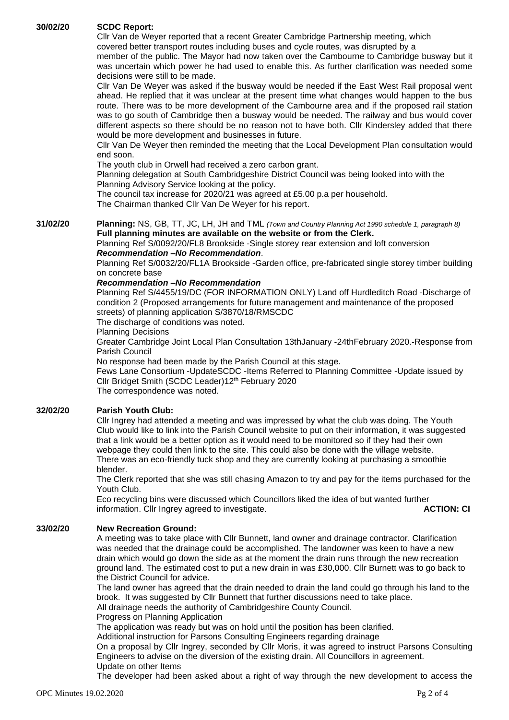### **30/02/20 SCDC Report:**

Cllr Van de Weyer reported that a recent Greater Cambridge Partnership meeting, which covered better transport routes including buses and cycle routes, was disrupted by a

member of the public. The Mayor had now taken over the Cambourne to Cambridge busway but it was uncertain which power he had used to enable this. As further clarification was needed some decisions were still to be made.

Cllr Van De Weyer was asked if the busway would be needed if the East West Rail proposal went ahead. He replied that it was unclear at the present time what changes would happen to the bus route. There was to be more development of the Cambourne area and if the proposed rail station was to go south of Cambridge then a busway would be needed. The railway and bus would cover different aspects so there should be no reason not to have both. Cllr Kindersley added that there would be more development and businesses in future.

Cllr Van De Weyer then reminded the meeting that the Local Development Plan consultation would end soon.

The youth club in Orwell had received a zero carbon grant.

Planning delegation at South Cambridgeshire District Council was being looked into with the Planning Advisory Service looking at the policy.

The council tax increase for 2020/21 was agreed at £5.00 p.a per household.

The Chairman thanked Cllr Van De Weyer for his report.

**31/02/20 Planning:** NS, GB, TT, JC, LH, JH and TML *(Town and Country Planning Act 1990 schedule 1, paragraph 8)* **Full planning minutes are available on the website or from the Clerk.** 

Planning Ref S/0092/20/FL8 Brookside -Single storey rear extension and loft conversion *Recommendation –No Recommendation*.

Planning Ref S/0032/20/FL1A Brookside -Garden office, pre-fabricated single storey timber building on concrete base

### *Recommendation –No Recommendation*

Planning Ref S/4455/19/DC (FOR INFORMATION ONLY) Land off Hurdleditch Road -Discharge of condition 2 (Proposed arrangements for future management and maintenance of the proposed streets) of planning application S/3870/18/RMSCDC

The discharge of conditions was noted.

### Planning Decisions

Greater Cambridge Joint Local Plan Consultation 13thJanuary -24thFebruary 2020.-Response from Parish Council

No response had been made by the Parish Council at this stage.

Fews Lane Consortium -UpdateSCDC -Items Referred to Planning Committee -Update issued by Cllr Bridget Smith (SCDC Leader)12th February 2020 The correspondence was noted.

### **32/02/20 Parish Youth Club:**

Cllr Ingrey had attended a meeting and was impressed by what the club was doing. The Youth Club would like to link into the Parish Council website to put on their information, it was suggested that a link would be a better option as it would need to be monitored so if they had their own webpage they could then link to the site. This could also be done with the village website. There was an eco-friendly tuck shop and they are currently looking at purchasing a smoothie blender.

The Clerk reported that she was still chasing Amazon to try and pay for the items purchased for the Youth Club.

Eco recycling bins were discussed which Councillors liked the idea of but wanted further information. Cllr Ingrey agreed to investigate. **ACTION: CI**

### **33/02/20 New Recreation Ground:**

A meeting was to take place with Cllr Bunnett, land owner and drainage contractor. Clarification was needed that the drainage could be accomplished. The landowner was keen to have a new drain which would go down the side as at the moment the drain runs through the new recreation ground land. The estimated cost to put a new drain in was £30,000. Cllr Burnett was to go back to the District Council for advice.

The land owner has agreed that the drain needed to drain the land could go through his land to the brook. It was suggested by Cllr Bunnett that further discussions need to take place.

All drainage needs the authority of Cambridgeshire County Council.

Progress on Planning Application

The application was ready but was on hold until the position has been clarified.

Additional instruction for Parsons Consulting Engineers regarding drainage

On a proposal by Cllr Ingrey, seconded by Cllr Moris, it was agreed to instruct Parsons Consulting Engineers to advise on the diversion of the existing drain. All Councillors in agreement. Update on other Items

The developer had been asked about a right of way through the new development to access the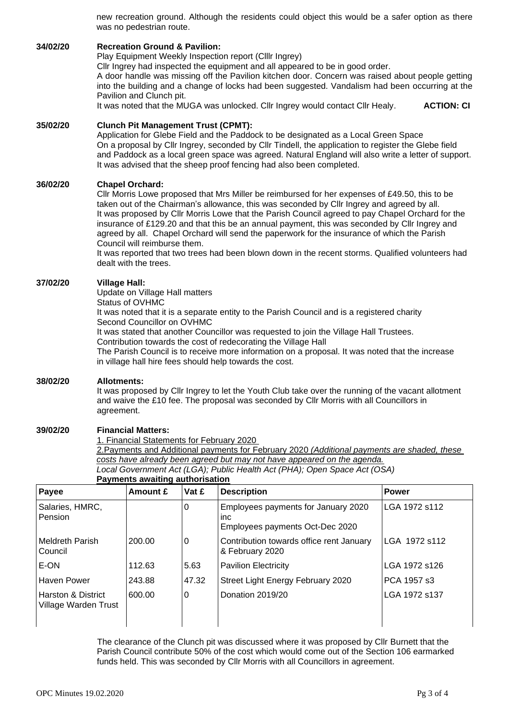new recreation ground. Although the residents could object this would be a safer option as there was no pedestrian route.

### **34/02/20 Recreation Ground & Pavilion:**

Play Equipment Weekly Inspection report (Clllr Ingrey)

Cllr Ingrey had inspected the equipment and all appeared to be in good order.

A door handle was missing off the Pavilion kitchen door. Concern was raised about people getting into the building and a change of locks had been suggested. Vandalism had been occurring at the Pavilion and Clunch pit.

It was noted that the MUGA was unlocked. Cllr Ingrey would contact Cllr Healy. **ACTION: CI**

# **35/02/20 Clunch Pit Management Trust (CPMT):**

Application for Glebe Field and the Paddock to be designated as a Local Green Space On a proposal by Cllr Ingrey, seconded by Cllr Tindell, the application to register the Glebe field and Paddock as a local green space was agreed. Natural England will also write a letter of support. It was advised that the sheep proof fencing had also been completed.

# **36/02/20 Chapel Orchard:**

Cllr Morris Lowe proposed that Mrs Miller be reimbursed for her expenses of £49.50, this to be taken out of the Chairman's allowance, this was seconded by Cllr Ingrey and agreed by all. It was proposed by Cllr Morris Lowe that the Parish Council agreed to pay Chapel Orchard for the insurance of £129.20 and that this be an annual payment, this was seconded by Cllr Ingrey and agreed by all. Chapel Orchard will send the paperwork for the insurance of which the Parish Council will reimburse them.

It was reported that two trees had been blown down in the recent storms. Qualified volunteers had dealt with the trees.

# **37/02/20 Village Hall:**

Update on Village Hall matters Status of OVHMC It was noted that it is a separate entity to the Parish Council and is a registered charity Second Councillor on OVHMC It was stated that another Councillor was requested to join the Village Hall Trustees. Contribution towards the cost of redecorating the Village Hall The Parish Council is to receive more information on a proposal. It was noted that the increase in village hall hire fees should help towards the cost.

# **38/02/20 Allotments:**

It was proposed by Cllr Ingrey to let the Youth Club take over the running of the vacant allotment and waive the £10 fee. The proposal was seconded by Cllr Morris with all Councillors in agreement.

# **39/02/20 Financial Matters:**

1. Financial Statements for February 2020

2.Payments and Additional payments for February 2020 *(Additional payments are shaded, these costs have already been agreed but may not have appeared on the agenda. Local Government Act (LGA); Public Health Act (PHA); Open Space Act (OSA)*

**Payments awaiting authorisation**

| Payee                                                 | Amount £ | Vat £ | <b>Description</b>                                                                   | <b>Power</b>  |
|-------------------------------------------------------|----------|-------|--------------------------------------------------------------------------------------|---------------|
| Salaries, HMRC,<br>Pension                            |          | 0     | Employees payments for January 2020<br><i>inc</i><br>Employees payments Oct-Dec 2020 | LGA 1972 s112 |
| <b>Meldreth Parish</b><br>Council                     | 200.00   | 0     | Contribution towards office rent January<br>& February 2020                          | LGA 1972 s112 |
| E-ON                                                  | 112.63   | 5.63  | <b>Pavilion Electricity</b>                                                          | LGA 1972 s126 |
| Haven Power                                           | 243.88   | 47.32 | Street Light Energy February 2020                                                    | PCA 1957 s3   |
| <b>Harston &amp; District</b><br>Village Warden Trust | 600.00   | 0     | Donation 2019/20                                                                     | LGA 1972 s137 |

The clearance of the Clunch pit was discussed where it was proposed by Cllr Burnett that the Parish Council contribute 50% of the cost which would come out of the Section 106 earmarked funds held. This was seconded by Cllr Morris with all Councillors in agreement.